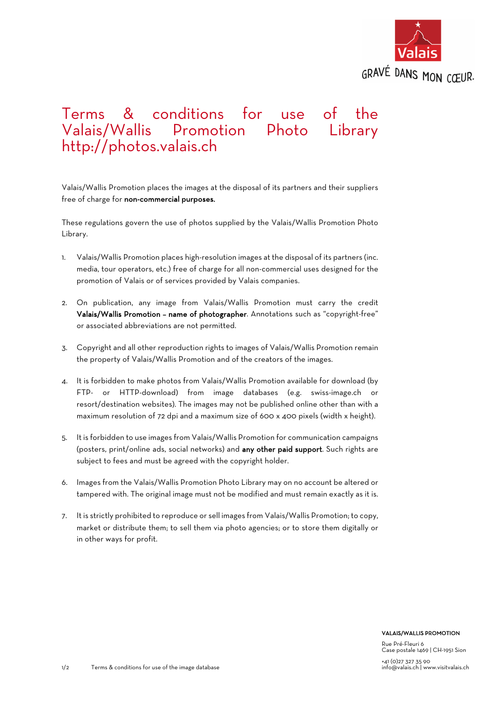

## Terms & conditions for use of the Valais/Wallis Promotion Photo Library http://photos.valais.ch

Valais/Wallis Promotion places the images at the disposal of its partners and their suppliers free of charge for non-commercial purposes.

These regulations govern the use of photos supplied by the Valais/Wallis Promotion Photo Library.

- 1. Valais/Wallis Promotion places high-resolution images at the disposal of its partners (inc. media, tour operators, etc.) free of charge for all non-commercial uses designed for the promotion of Valais or of services provided by Valais companies.
- 2. On publication, any image from Valais/Wallis Promotion must carry the credit Valais/Wallis Promotion – name of photographer. Annotations such as "copyright-free" or associated abbreviations are not permitted.
- 3. Copyright and all other reproduction rights to images of Valais/Wallis Promotion remain the property of Valais/Wallis Promotion and of the creators of the images.
- 4. It is forbidden to make photos from Valais/Wallis Promotion available for download (by FTP- or HTTP-download) from image databases (e.g. swiss-image.ch or resort/destination websites). The images may not be published online other than with a maximum resolution of 72 dpi and a maximum size of 600 x 400 pixels (width x height).
- 5. It is forbidden to use images from Valais/Wallis Promotion for communication campaigns (posters, print/online ads, social networks) and any other paid support. Such rights are subject to fees and must be agreed with the copyright holder.
- 6. Images from the Valais/Wallis Promotion Photo Library may on no account be altered or tampered with. The original image must not be modified and must remain exactly as it is.
- 7. It is strictly prohibited to reproduce or sell images from Valais/Wallis Promotion; to copy, market or distribute them; to sell them via photo agencies; or to store them digitally or in other ways for profit.

## VALAIS/WALLIS PROMOTION

Rue Pré-Fleuri 6 Case postale 1469 | CH-1951 Sion +41 (0)27 327 35 90 info@valais.ch | www.visitvalais.ch